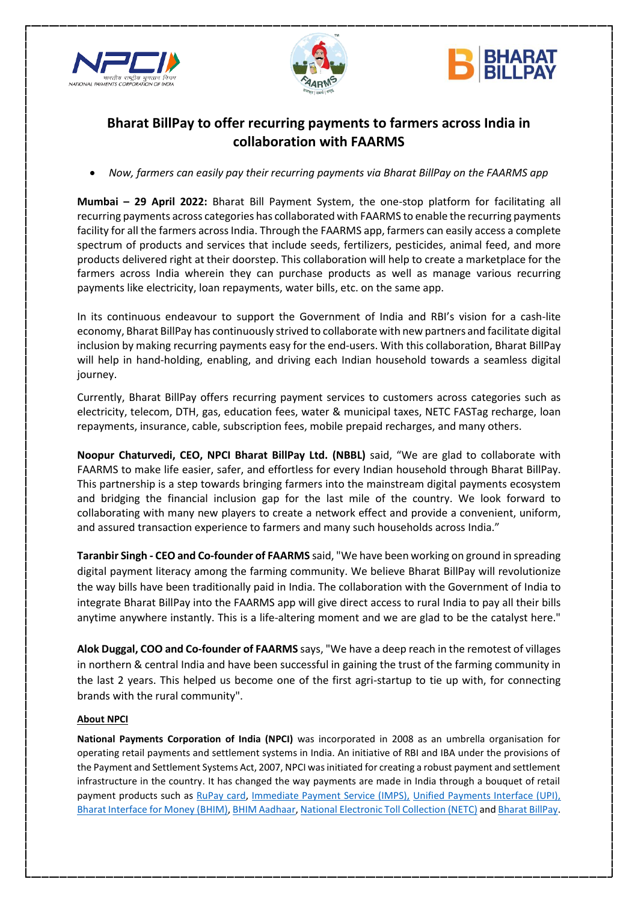





# **Bharat BillPay to offer recurring payments to farmers across India in collaboration with FAARMS**

*Now, farmers can easily pay their recurring payments via Bharat BillPay on the FAARMS app*

**Mumbai – 29 April 2022:** Bharat Bill Payment System, the one-stop platform for facilitating all recurring payments across categories has collaborated with FAARMS to enable the recurring payments facility for all the farmers across India. Through the FAARMS app, farmers can easily access a complete spectrum of products and services that include seeds, fertilizers, pesticides, animal feed, and more products delivered right at their doorstep. This collaboration will help to create a marketplace for the farmers across India wherein they can purchase products as well as manage various recurring payments like electricity, loan repayments, water bills, etc. on the same app.

In its continuous endeavour to support the Government of India and RBI's vision for a cash-lite economy, Bharat BillPay has continuously strived to collaborate with new partners and facilitate digital inclusion by making recurring payments easy for the end-users. With this collaboration, Bharat BillPay will help in hand-holding, enabling, and driving each Indian household towards a seamless digital journey.

Currently, Bharat BillPay offers recurring payment services to customers across categories such as electricity, telecom, DTH, gas, education fees, water & municipal taxes, NETC FASTag recharge, loan repayments, insurance, cable, subscription fees, mobile prepaid recharges, and many others.

**Noopur Chaturvedi, CEO, NPCI Bharat BillPay Ltd. (NBBL)** said, "We are glad to collaborate with FAARMS to make life easier, safer, and effortless for every Indian household through Bharat BillPay. This partnership is a step towards bringing farmers into the mainstream digital payments ecosystem and bridging the financial inclusion gap for the last mile of the country. We look forward to collaborating with many new players to create a network effect and provide a convenient, uniform, and assured transaction experience to farmers and many such households across India."

**Taranbir Singh - CEO and Co-founder of FAARMS** said, "We have been working on ground in spreading digital payment literacy among the farming community. We believe Bharat BillPay will revolutionize the way bills have been traditionally paid in India. The collaboration with the Government of India to integrate Bharat BillPay into the FAARMS app will give direct access to rural India to pay all their bills anytime anywhere instantly. This is a life-altering moment and we are glad to be the catalyst here."

**Alok Duggal, COO and Co-founder of FAARMS** says, "We have a deep reach in the remotest of villages in northern & central India and have been successful in gaining the trust of the farming community in the last 2 years. This helped us become one of the first agri-startup to tie up with, for connecting brands with the rural community".

# **About NPCI**

**National Payments Corporation of India (NPCI)** was incorporated in 2008 as an umbrella organisation for operating retail payments and settlement systems in India. An initiative of RBI and IBA under the provisions of the Payment and Settlement Systems Act, 2007, NPCI was initiated for creating a robust payment and settlement infrastructure in the country. It has changed the way payments are made in India through a bouquet of retail payment products such as [RuPay card,](https://www.npci.org.in/product-overview/rupay-product-overview) [Immediate Payment Service \(IMPS\),](https://www.npci.org.in/product-overview/imps-product-overview) [Unified Payments Interface \(UPI\),](https://www.npci.org.in/product-overview/upi-product-overview) [Bharat Interface for Money \(BHIM\),](https://www.npci.org.in/product-overview/bhim-product-overview) [BHIM Aadhaar,](https://www.npci.org.in/product-overview/bhim-aadhaar) [National Electronic Toll Collection \(NETC\)](https://www.npci.org.in/netc) and [Bharat BillPay.](https://www.npci.org.in/product-overview/bharat-billpay-product-overview)